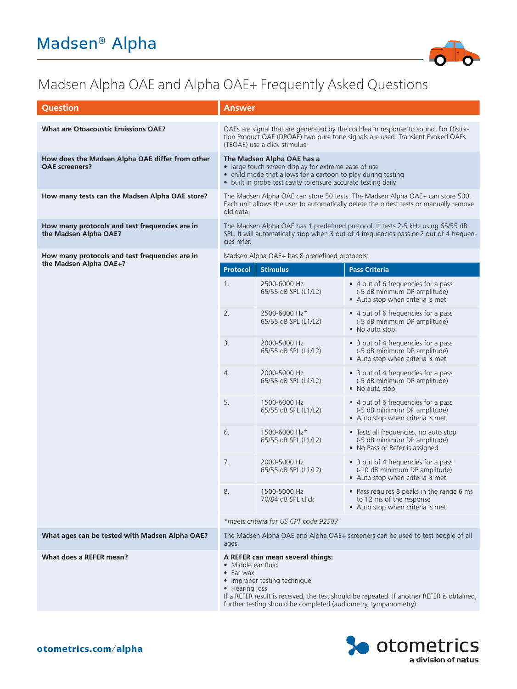

## Madsen Alpha OAE and Alpha OAE+ Frequently Asked Questions

| <b>Question</b>                                                          | Answer                                                                                                                                                                                                                                                                                        |                                       |                                                                                                           |
|--------------------------------------------------------------------------|-----------------------------------------------------------------------------------------------------------------------------------------------------------------------------------------------------------------------------------------------------------------------------------------------|---------------------------------------|-----------------------------------------------------------------------------------------------------------|
| <b>What are Otoacoustic Emissions OAE?</b>                               | OAEs are signal that are generated by the cochlea in response to sound. For Distor-<br>tion Product OAE (DPOAE) two pure tone signals are used. Transient Evoked OAEs<br>(TEOAE) use a click stimulus.                                                                                        |                                       |                                                                                                           |
| How does the Madsen Alpha OAE differ from other<br><b>OAE</b> screeners? | The Madsen Alpha OAE has a<br>• large touch screen display for extreme ease of use<br>• child mode that allows for a cartoon to play during testing<br>• built in probe test cavity to ensure accurate testing daily                                                                          |                                       |                                                                                                           |
| How many tests can the Madsen Alpha OAE store?                           | The Madsen Alpha OAE can store 50 tests. The Madsen Alpha OAE+ can store 500.<br>Each unit allows the user to automatically delete the oldest tests or manually remove<br>old data.                                                                                                           |                                       |                                                                                                           |
| How many protocols and test frequencies are in<br>the Madsen Alpha OAE?  | The Madsen Alpha OAE has 1 predefined protocol. It tests 2-5 kHz using 65/55 dB<br>SPL. It will automatically stop when 3 out of 4 frequencies pass or 2 out of 4 frequen-<br>cies refer.                                                                                                     |                                       |                                                                                                           |
| How many protocols and test frequencies are in<br>the Madsen Alpha OAE+? | Madsen Alpha OAE+ has 8 predefined protocols:                                                                                                                                                                                                                                                 |                                       |                                                                                                           |
|                                                                          | <b>Protocol</b>                                                                                                                                                                                                                                                                               | <b>Stimulus</b>                       | <b>Pass Criteria</b>                                                                                      |
|                                                                          | 1 <sub>1</sub>                                                                                                                                                                                                                                                                                | 2500-6000 Hz<br>65/55 dB SPL (L1/L2)  | • 4 out of 6 frequencies for a pass<br>(-5 dB minimum DP amplitude)<br>• Auto stop when criteria is met   |
|                                                                          | 2.                                                                                                                                                                                                                                                                                            | 2500-6000 Hz*<br>65/55 dB SPL (L1/L2) | • 4 out of 6 frequencies for a pass<br>(-5 dB minimum DP amplitude)<br>• No auto stop                     |
|                                                                          | 3.                                                                                                                                                                                                                                                                                            | 2000-5000 Hz<br>65/55 dB SPL (L1/L2)  | • 3 out of 4 frequencies for a pass<br>(-5 dB minimum DP amplitude)<br>• Auto stop when criteria is met   |
|                                                                          | 4.                                                                                                                                                                                                                                                                                            | 2000-5000 Hz<br>65/55 dB SPL (L1/L2)  | • 3 out of 4 frequencies for a pass<br>(-5 dB minimum DP amplitude)<br>• No auto stop                     |
|                                                                          | 5.                                                                                                                                                                                                                                                                                            | 1500-6000 Hz<br>65/55 dB SPL (L1/L2)  | • 4 out of 6 frequencies for a pass<br>(-5 dB minimum DP amplitude)<br>• Auto stop when criteria is met   |
|                                                                          | 6.                                                                                                                                                                                                                                                                                            | 1500-6000 Hz*<br>65/55 dB SPL (L1/L2) | • Tests all frequencies, no auto stop<br>(-5 dB minimum DP amplitude)<br>• No Pass or Refer is assigned   |
|                                                                          | 7.                                                                                                                                                                                                                                                                                            | 2000-5000 Hz<br>65/55 dB SPL (L1/L2)  | • 3 out of 4 frequencies for a pass<br>(-10 dB minimum DP amplitude)<br>• Auto stop when criteria is met  |
|                                                                          | 8.                                                                                                                                                                                                                                                                                            | 1500-5000 Hz<br>70/84 dB SPL click    | • Pass requires 8 peaks in the range 6 ms<br>to 12 ms of the response<br>• Auto stop when criteria is met |
|                                                                          | *meets criteria for US CPT code 92587                                                                                                                                                                                                                                                         |                                       |                                                                                                           |
| What ages can be tested with Madsen Alpha OAE?                           | The Madsen Alpha OAE and Alpha OAE+ screeners can be used to test people of all<br>ages.                                                                                                                                                                                                      |                                       |                                                                                                           |
| What does a REFER mean?                                                  | A REFER can mean several things:<br>• Middle ear fluid<br>$\bullet$ Ear wax<br>• Improper testing technique<br>• Hearing loss<br>If a REFER result is received, the test should be repeated. If another REFER is obtained,<br>further testing should be completed (audiometry, tympanometry). |                                       |                                                                                                           |